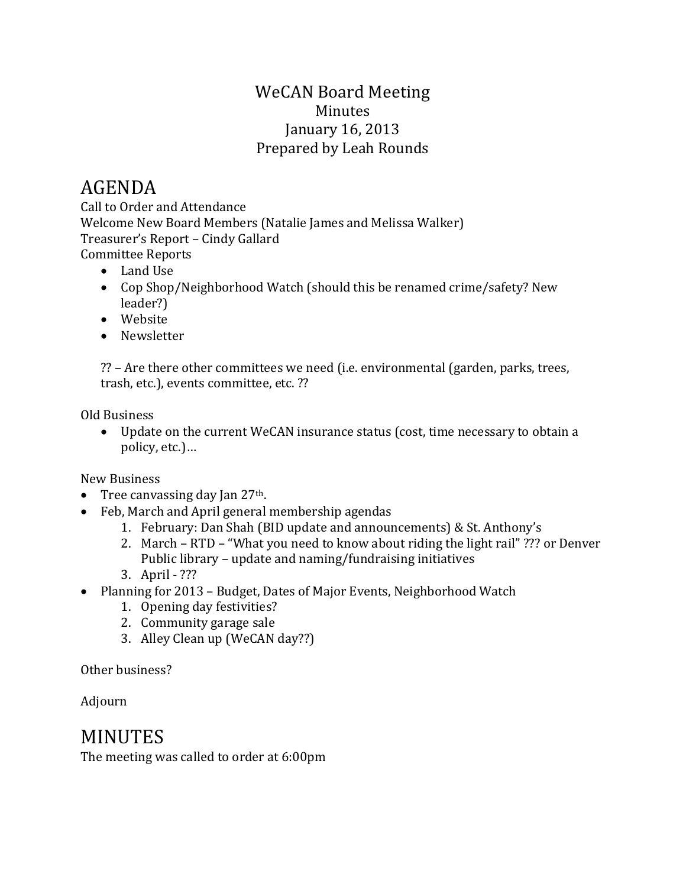## WeCAN Board Meeting Minutes January 16, 2013 Prepared by Leah Rounds

# AGENDA

Call to Order and Attendance Welcome New Board Members (Natalie James and Melissa Walker) Treasurer's Report – Cindy Gallard Committee Reports

- Land Use
- Cop Shop/Neighborhood Watch (should this be renamed crime/safety? New leader?)
- Website
- Newsletter

?? – Are there other committees we need (i.e. environmental (garden, parks, trees, trash, etc.), events committee, etc. ??

Old Business

• Update on the current WeCAN insurance status (cost, time necessary to obtain a policy, etc.)…

New Business

- Tree canvassing day Jan  $27<sup>th</sup>$ .
- Feb, March and April general membership agendas
	- 1. February: Dan Shah (BID update and announcements) & St. Anthony's
	- 2. March RTD "What you need to know about riding the light rail" ??? or Denver Public library – update and naming/fundraising initiatives
	- 3. April ???
- Planning for 2013 Budget, Dates of Major Events, Neighborhood Watch
	- 1. Opening day festivities?
	- 2. Community garage sale
	- 3. Alley Clean up (WeCAN day??)

Other business?

Adjourn

## MINUTES

The meeting was called to order at 6:00pm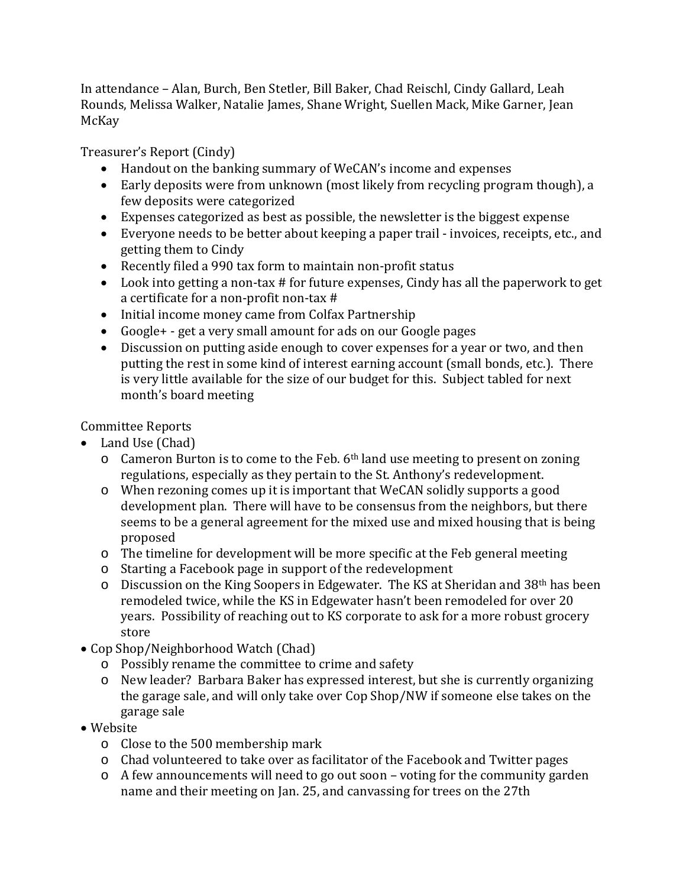In attendance – Alan, Burch, Ben Stetler, Bill Baker, Chad Reischl, Cindy Gallard, Leah Rounds, Melissa Walker, Natalie James, Shane Wright, Suellen Mack, Mike Garner, Jean McKay

Treasurer's Report (Cindy)

- Handout on the banking summary of WeCAN's income and expenses
- Early deposits were from unknown (most likely from recycling program though), a few deposits were categorized
- Expenses categorized as best as possible, the newsletter is the biggest expense
- Everyone needs to be better about keeping a paper trail invoices, receipts, etc., and getting them to Cindy
- Recently filed a 990 tax form to maintain non-profit status
- Look into getting a non-tax # for future expenses, Cindy has all the paperwork to get a certificate for a non-profit non-tax #
- Initial income money came from Colfax Partnership
- Google+ get a very small amount for ads on our Google pages
- Discussion on putting aside enough to cover expenses for a year or two, and then putting the rest in some kind of interest earning account (small bonds, etc.). There is very little available for the size of our budget for this. Subject tabled for next month's board meeting

#### Committee Reports

- Land Use (Chad)
	- $\circ$  Cameron Burton is to come to the Feb. 6<sup>th</sup> land use meeting to present on zoning regulations, especially as they pertain to the St. Anthony's redevelopment.
	- o When rezoning comes up it is important that WeCAN solidly supports a good development plan. There will have to be consensus from the neighbors, but there seems to be a general agreement for the mixed use and mixed housing that is being proposed
	- o The timeline for development will be more specific at the Feb general meeting
	- o Starting a Facebook page in support of the redevelopment
	- o Discussion on the King Soopers in Edgewater. The KS at Sheridan and 38th has been remodeled twice, while the KS in Edgewater hasn't been remodeled for over 20 years. Possibility of reaching out to KS corporate to ask for a more robust grocery store
- Cop Shop/Neighborhood Watch (Chad)
	- o Possibly rename the committee to crime and safety
	- o New leader? Barbara Baker has expressed interest, but she is currently organizing the garage sale, and will only take over Cop Shop/NW if someone else takes on the garage sale

#### • Website

- o Close to the 500 membership mark
- o Chad volunteered to take over as facilitator of the Facebook and Twitter pages
- o A few announcements will need to go out soon voting for the community garden name and their meeting on Jan. 25, and canvassing for trees on the 27th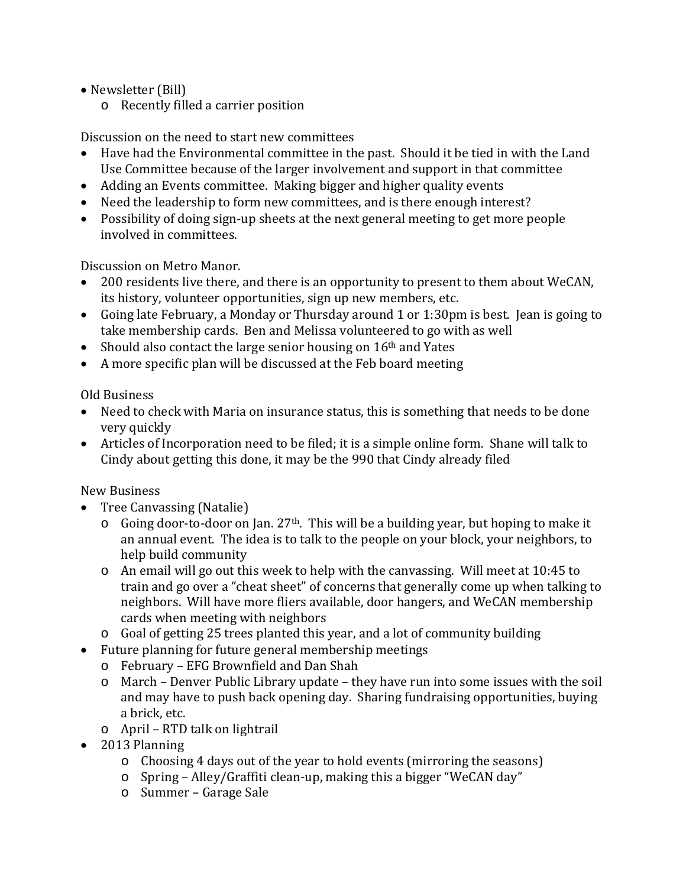- Newsletter (Bill)
	- o Recently filled a carrier position

Discussion on the need to start new committees

- Have had the Environmental committee in the past. Should it be tied in with the Land Use Committee because of the larger involvement and support in that committee
- Adding an Events committee. Making bigger and higher quality events
- Need the leadership to form new committees, and is there enough interest?
- Possibility of doing sign-up sheets at the next general meeting to get more people involved in committees.

Discussion on Metro Manor.

- 200 residents live there, and there is an opportunity to present to them about WeCAN, its history, volunteer opportunities, sign up new members, etc.
- Going late February, a Monday or Thursday around 1 or 1:30pm is best. Jean is going to take membership cards. Ben and Melissa volunteered to go with as well
- Should also contact the large senior housing on 16<sup>th</sup> and Yates
- A more specific plan will be discussed at the Feb board meeting

Old Business

- Need to check with Maria on insurance status, this is something that needs to be done very quickly
- Articles of Incorporation need to be filed; it is a simple online form. Shane will talk to Cindy about getting this done, it may be the 990 that Cindy already filed

New Business

- Tree Canvassing (Natalie)
	- $\circ$  Going door-to-door on Jan. 27<sup>th</sup>. This will be a building year, but hoping to make it an annual event. The idea is to talk to the people on your block, your neighbors, to help build community
	- o An email will go out this week to help with the canvassing. Will meet at 10:45 to train and go over a "cheat sheet" of concerns that generally come up when talking to neighbors. Will have more fliers available, door hangers, and WeCAN membership cards when meeting with neighbors
	- o Goal of getting 25 trees planted this year, and a lot of community building
- Future planning for future general membership meetings
	- o February EFG Brownfield and Dan Shah
	- o March Denver Public Library update they have run into some issues with the soil and may have to push back opening day. Sharing fundraising opportunities, buying a brick, etc.
	- o April RTD talk on lightrail
- 2013 Planning
	- o Choosing 4 days out of the year to hold events (mirroring the seasons)
	- o Spring Alley/Graffiti clean-up, making this a bigger "WeCAN day"
	- o Summer Garage Sale